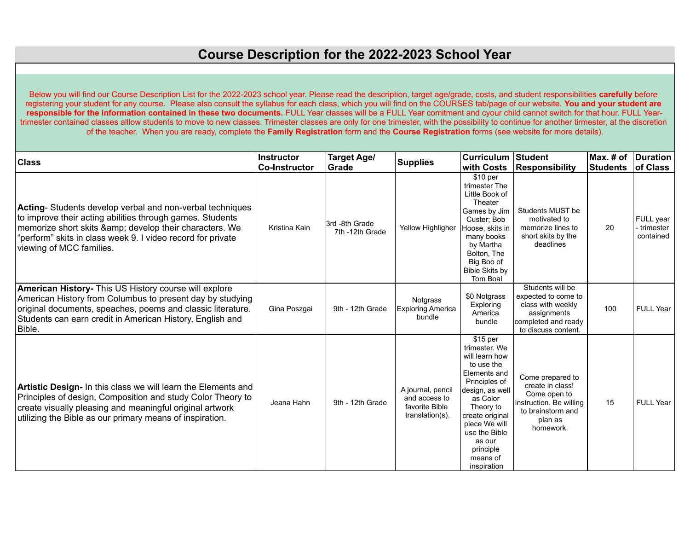Below you will find our Course Description List for the 2022-2023 school year. Please read the description, target age/grade, costs, and student responsibilities **carefully** before registering your student for any course. Please also consult the syllabus for each class, which you will find on the COURSES tab/page of our website. **You and your student are responsible for the information contained in these two documents.** FULL Year classes will be a FULL Year comitment and cyour child cannot switch for that hour. FULL Yeartrimester contained classes alllow students to move to new classes. Trimester classes are only for one trimester, with the possibility to continue for another tirmester, at the discretion of the teacher. When you are ready, complete the **Family Registration** form and the **Course Registration** forms (see website for more details).

| <b>Class</b>                                                                                                                                                                                                                                                            | <b>Instructor</b><br><b>Co-Instructor</b> | <b>Target Age/</b><br>Grade       | <b>Supplies</b>                                                         | <b>Curriculum</b><br>with Costs                                                                                                                                                                                                               | Student<br>Responsibility                                                                                                    | $Max.$ # of<br><b>Students</b> | Duration<br>of Class                  |
|-------------------------------------------------------------------------------------------------------------------------------------------------------------------------------------------------------------------------------------------------------------------------|-------------------------------------------|-----------------------------------|-------------------------------------------------------------------------|-----------------------------------------------------------------------------------------------------------------------------------------------------------------------------------------------------------------------------------------------|------------------------------------------------------------------------------------------------------------------------------|--------------------------------|---------------------------------------|
| Acting-Students develop verbal and non-verbal techniques<br>to improve their acting abilities through games. Students<br>memorize short skits & develop their characters. We<br>"perform" skits in class week 9. I video record for private<br>viewing of MCC families. | Kristina Kain                             | 3rd -8th Grade<br>7th -12th Grade | Yellow Highligher                                                       | \$10 per<br>trimester The<br>Little Book of<br>Theater<br>Games by Jim<br>Custer: Bob<br>Hoose, skits in<br>many books<br>by Martha<br>Bolton, The<br>Big Boo of<br><b>Bible Skits by</b><br>Tom Boal                                         | Students MUST be<br>motivated to<br>memorize lines to<br>short skits by the<br>deadlines                                     | 20                             | FULL year<br>- trimester<br>contained |
| American History- This US History course will explore<br>American History from Columbus to present day by studying<br>original documents, speaches, poems and classic literature.<br>Students can earn credit in American History, English and<br>Bible.                | Gina Poszgai                              | 9th - 12th Grade                  | Notgrass<br><b>Exploring America</b><br>bundle                          | \$0 Notgrass<br>Exploring<br>America<br>bundle                                                                                                                                                                                                | Students will be<br>expected to come to<br>class with weekly<br>assignments<br>completed and ready<br>to discuss content.    | 100                            | <b>FULL Year</b>                      |
| Artistic Design- In this class we will learn the Elements and<br>Principles of design, Composition and study Color Theory to<br>create visually pleasing and meaningful original artwork<br>utilizing the Bible as our primary means of inspiration.                    | Jeana Hahn                                | 9th - 12th Grade                  | A journal, pencil<br>and access to<br>favorite Bible<br>translation(s). | \$15 per<br>trimester. We<br>will learn how<br>to use the<br>Elements and<br>Principles of<br>design, as well<br>as Color<br>Theory to<br>create original<br>piece We will<br>use the Bible<br>as our<br>principle<br>means of<br>inspiration | Come prepared to<br>create in class!<br>Come open to<br>instruction. Be willing<br>to brainstorm and<br>plan as<br>homework. | 15                             | <b>FULL Year</b>                      |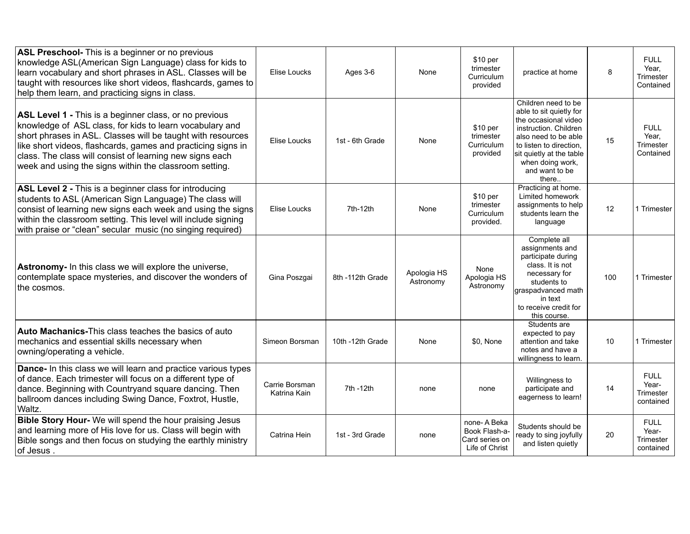| ASL Preschool- This is a beginner or no previous<br>knowledge ASL(American Sign Language) class for kids to<br>learn vocabulary and short phrases in ASL. Classes will be<br>taught with resources like short videos, flashcards, games to<br>help them learn, and practicing signs in class.                                                                           | Elise Loucks                   | Ages 3-6         | None                     | \$10 per<br>trimester<br>Curriculum<br>provided                  | practice at home                                                                                                                                                                                                              | 8   | <b>FULL</b><br>Year,<br>Trimester<br>Contained        |
|-------------------------------------------------------------------------------------------------------------------------------------------------------------------------------------------------------------------------------------------------------------------------------------------------------------------------------------------------------------------------|--------------------------------|------------------|--------------------------|------------------------------------------------------------------|-------------------------------------------------------------------------------------------------------------------------------------------------------------------------------------------------------------------------------|-----|-------------------------------------------------------|
| ASL Level 1 - This is a beginner class, or no previous<br>knowledge of ASL class, for kids to learn vocabulary and<br>short phrases in ASL. Classes will be taught with resources<br>like short videos, flashcards, games and practicing signs in<br>class. The class will consist of learning new signs each<br>week and using the signs within the classroom setting. | Elise Loucks                   | 1st - 6th Grade  | None                     | \$10 per<br>trimester<br>Curriculum<br>provided                  | Children need to be<br>able to sit quietly for<br>the occasional video<br>instruction. Children<br>also need to be able<br>to listen to direction.<br>sit quietly at the table<br>when doing work,<br>and want to be<br>there | 15  | <b>FULL</b><br>Year.<br><b>Trimester</b><br>Contained |
| ASL Level 2 - This is a beginner class for introducing<br>students to ASL (American Sign Language) The class will<br>consist of learning new signs each week and using the signs<br>within the classroom setting. This level will include signing<br>with praise or "clean" secular music (no singing required)                                                         | Elise Loucks                   | 7th-12th         | None                     | \$10 per<br>trimester<br>Curriculum<br>provided.                 | Practicing at home.<br>Limited homework<br>assignments to help<br>students learn the<br>language                                                                                                                              | 12  | 1 Trimester                                           |
| Astronomy- In this class we will explore the universe,<br>contemplate space mysteries, and discover the wonders of<br>the cosmos.                                                                                                                                                                                                                                       | Gina Poszgai                   | 8th -112th Grade | Apologia HS<br>Astronomy | None<br>Apologia HS<br>Astronomy                                 | Complete all<br>assignments and<br>participate during<br>class. It is not<br>necessary for<br>students to<br>graspadvanced math<br>in text<br>to receive credit for<br>this course.                                           | 100 | 1 Trimester                                           |
| <b>Auto Machanics-This class teaches the basics of auto</b><br>mechanics and essential skills necessary when<br>owning/operating a vehicle.                                                                                                                                                                                                                             | Simeon Borsman                 | 10th -12th Grade | None                     | \$0, None                                                        | Students are<br>expected to pay<br>attention and take<br>notes and have a<br>willingness to learn.                                                                                                                            | 10  | 1 Trimester                                           |
| Dance- In this class we will learn and practice various types<br>of dance. Each trimester will focus on a different type of<br>dance. Beginning with Countryand square dancing. Then<br>ballroom dances including Swing Dance, Foxtrot, Hustle,<br>Waltz.                                                                                                               | Carrie Borsman<br>Katrina Kain | 7th -12th        | none                     | none                                                             | Willingness to<br>participate and<br>eagerness to learn!                                                                                                                                                                      | 14  | <b>FULL</b><br>Year-<br>Trimester<br>contained        |
| Bible Story Hour- We will spend the hour praising Jesus<br>and learning more of His love for us. Class will begin with<br>Bible songs and then focus on studying the earthly ministry<br>of Jesus.                                                                                                                                                                      | Catrina Hein                   | 1st - 3rd Grade  | none                     | none-A Beka<br>Book Flash-a-<br>Card series on<br>Life of Christ | Students should be<br>ready to sing joyfully<br>and listen quietly                                                                                                                                                            | 20  | <b>FULL</b><br>Year-<br>Trimester<br>contained        |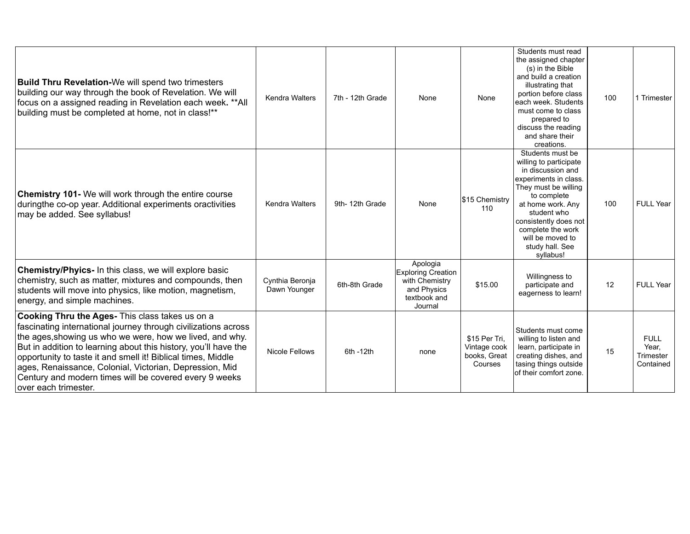| <b>Build Thru Revelation-We will spend two trimesters</b><br>building our way through the book of Revelation. We will<br>focus on a assigned reading in Revelation each week. **All<br>building must be completed at home, not in class!**                                                                                                                                                                                                                           | <b>Kendra Walters</b>           | 7th - 12th Grade | None                                                                                       | None                                                     | Students must read<br>the assigned chapter<br>(s) in the Bible<br>and build a creation<br>illustrating that<br>portion before class<br>leach week. Students<br>must come to class<br>prepared to<br>discuss the reading<br>and share their<br>creations.              | 100 | 1 Trimester                                    |
|----------------------------------------------------------------------------------------------------------------------------------------------------------------------------------------------------------------------------------------------------------------------------------------------------------------------------------------------------------------------------------------------------------------------------------------------------------------------|---------------------------------|------------------|--------------------------------------------------------------------------------------------|----------------------------------------------------------|-----------------------------------------------------------------------------------------------------------------------------------------------------------------------------------------------------------------------------------------------------------------------|-----|------------------------------------------------|
| <b>Chemistry 101-</b> We will work through the entire course<br>duringthe co-op year. Additional experiments oractivities<br>may be added. See syllabus!                                                                                                                                                                                                                                                                                                             | <b>Kendra Walters</b>           | 9th-12th Grade   | None                                                                                       | \$15 Chemistry<br>110                                    | Students must be<br>willing to participate<br>in discussion and<br>experiments in class.<br>They must be willing<br>to complete<br>at home work. Any<br>student who<br>consistently does not<br>complete the work<br>will be moved to<br>study hall. See<br>syllabus! | 100 | <b>FULL Year</b>                               |
| <b>Chemistry/Phyics-</b> In this class, we will explore basic<br>chemistry, such as matter, mixtures and compounds, then<br>students will move into physics, like motion, magnetism,<br>energy, and simple machines.                                                                                                                                                                                                                                                 | Cynthia Beronja<br>Dawn Younger | 6th-8th Grade    | Apologia<br>Exploring Creation<br>with Chemistry<br>and Physics<br>textbook and<br>Journal | \$15.00                                                  | Willingness to<br>participate and<br>eagerness to learn!                                                                                                                                                                                                              | 12  | <b>FULL Year</b>                               |
| <b>Cooking Thru the Ages-</b> This class takes us on a<br>fascinating international journey through civilizations across<br>the ages, showing us who we were, how we lived, and why.<br>But in addition to learning about this history, you'll have the<br>opportunity to taste it and smell it! Biblical times, Middle<br>ages, Renaissance, Colonial, Victorian, Depression, Mid<br>Century and modern times will be covered every 9 weeks<br>over each trimester. | <b>Nicole Fellows</b>           | 6th -12th        | none                                                                                       | \$15 Per Tri,<br>Vintage cook<br>books, Great<br>Courses | Students must come<br>willing to listen and<br>learn, participate in<br>creating dishes, and<br>tasing things outside<br>lof their comfort zone.                                                                                                                      | 15  | <b>FULL</b><br>Year.<br>Trimester<br>Contained |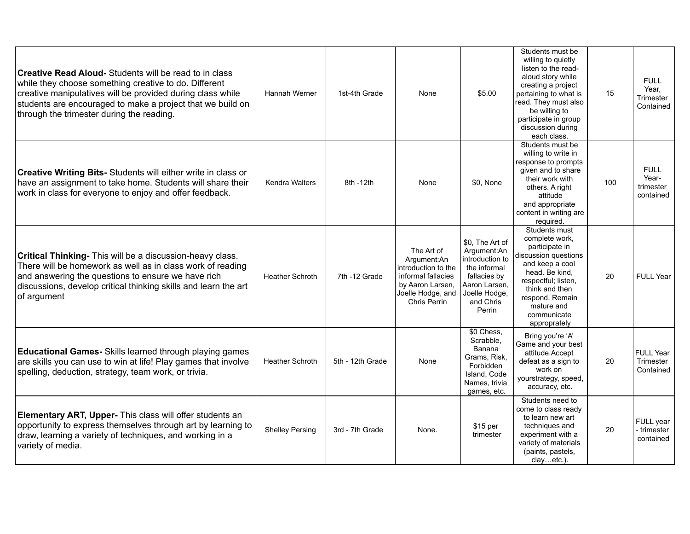| <b>Creative Read Aloud-</b> Students will be read to in class<br>while they choose something creative to do. Different<br>creative manipulatives will be provided during class while<br>students are encouraged to make a project that we build on<br>through the trimester during the reading. | Hannah Werner          | 1st-4th Grade    | None                                                                                                                                   | \$5.00                                                                                                                                     | Students must be<br>willing to quietly<br>listen to the read-<br>aloud story while<br>creating a project<br>pertaining to what is<br>read. They must also<br>be willing to<br>participate in group<br>discussion during<br>each class. | 15  | <b>FULL</b><br>Year,<br>Trimester<br>Contained |
|-------------------------------------------------------------------------------------------------------------------------------------------------------------------------------------------------------------------------------------------------------------------------------------------------|------------------------|------------------|----------------------------------------------------------------------------------------------------------------------------------------|--------------------------------------------------------------------------------------------------------------------------------------------|----------------------------------------------------------------------------------------------------------------------------------------------------------------------------------------------------------------------------------------|-----|------------------------------------------------|
| <b>Creative Writing Bits-</b> Students will either write in class or<br>have an assignment to take home. Students will share their<br>work in class for everyone to enjoy and offer feedback.                                                                                                   | <b>Kendra Walters</b>  | 8th - 12th       | None                                                                                                                                   | \$0, None                                                                                                                                  | Students must be<br>willing to write in<br>response to prompts<br>given and to share<br>their work with<br>others. A right<br>attitude<br>and appropriate<br>content in writing are<br>required.                                       | 100 | <b>FULL</b><br>Year-<br>trimester<br>contained |
| <b>Critical Thinking-</b> This will be a discussion-heavy class.<br>There will be homework as well as in class work of reading<br>and answering the questions to ensure we have rich<br>discussions, develop critical thinking skills and learn the art<br>of argument                          | <b>Heather Schroth</b> | 7th -12 Grade    | The Art of<br>Argument:An<br>introduction to the<br>informal fallacies<br>by Aaron Larsen,<br>Joelle Hodge, and<br><b>Chris Perrin</b> | \$0. The Art of<br>Argument:An<br>introduction to<br>the informal<br>fallacies by<br>Aaron Larsen,<br>Joelle Hodge,<br>and Chris<br>Perrin | Students must<br>complete work,<br>participate in<br>discussion questions<br>and keep a cool<br>head. Be kind.<br>respectful; listen,<br>think and then<br>respond. Remain<br>mature and<br>communicate<br>approprately                | 20  | <b>FULL Year</b>                               |
| <b>Educational Games-</b> Skills learned through playing games<br>are skills you can use to win at life! Play games that involve<br>spelling, deduction, strategy, team work, or trivia.                                                                                                        | <b>Heather Schroth</b> | 5th - 12th Grade | None                                                                                                                                   | \$0 Chess,<br>Scrabble,<br>Banana<br>Grams, Risk,<br>Forbidden<br>Island, Code<br>Names, trivia<br>games, etc.                             | Bring you're 'A'<br>Game and your best<br>attitude.Accept<br>defeat as a sign to<br>work on<br>yourstrategy, speed,<br>accuracy, etc.                                                                                                  | 20  | <b>FULL Year</b><br>Trimester<br>Contained     |
| <b>Elementary ART, Upper-</b> This class will offer students an<br>opportunity to express themselves through art by learning to<br>draw, learning a variety of techniques, and working in a<br>variety of media.                                                                                | <b>Shelley Persing</b> | 3rd - 7th Grade  | None.                                                                                                                                  | \$15 per<br>trimester                                                                                                                      | Students need to<br>come to class ready<br>to learn new art<br>techniques and<br>experiment with a<br>variety of materials<br>(paints, pastels,<br>clayetc.).                                                                          | 20  | FULL year<br>trimester<br>contained            |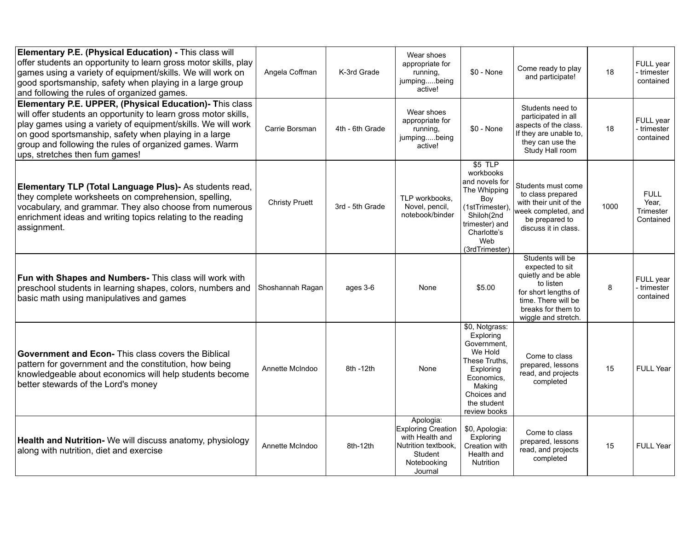| Elementary P.E. (Physical Education) - This class will<br>offer students an opportunity to learn gross motor skills, play<br>games using a variety of equipment/skills. We will work on<br>good sportsmanship, safety when playing in a large group<br>and following the rules of organized games.                                              | Angela Coffman        | K-3rd Grade     | Wear shoes<br>appropriate for<br>running,<br>jumpingbeing<br>active!                                                  | $$0 - None$                                                                                                                                               | Come ready to play<br>and participate!                                                                                                                              | 18   | FULL year<br>trimester<br>contained            |
|-------------------------------------------------------------------------------------------------------------------------------------------------------------------------------------------------------------------------------------------------------------------------------------------------------------------------------------------------|-----------------------|-----------------|-----------------------------------------------------------------------------------------------------------------------|-----------------------------------------------------------------------------------------------------------------------------------------------------------|---------------------------------------------------------------------------------------------------------------------------------------------------------------------|------|------------------------------------------------|
| Elementary P.E. UPPER, (Physical Education)- This class<br>will offer students an opportunity to learn gross motor skills,<br>play games using a variety of equipment/skills. We will work<br>on good sportsmanship, safety when playing in a large<br>group and following the rules of organized games. Warm<br>ups, stretches then fum games! | Carrie Borsman        | 4th - 6th Grade | Wear shoes<br>appropriate for<br>running,<br>jumpingbeing<br>active!                                                  | $$0 - None$                                                                                                                                               | Students need to<br>participated in all<br>aspects of the class.<br>If they are unable to,<br>they can use the<br>Study Hall room                                   | 18   | FULL year<br>trimester<br>contained            |
| Elementary TLP (Total Language Plus) - As students read,<br>they complete worksheets on comprehension, spelling,<br>vocabulary, and grammar. They also choose from numerous<br>enrichment ideas and writing topics relating to the reading<br>assignment.                                                                                       | <b>Christy Pruett</b> | 3rd - 5th Grade | TLP workbooks.<br>Novel, pencil,<br>notebook/binder                                                                   | $$5$ TLP<br>workbooks<br>and novels for<br>The Whipping<br>Boy<br>(1stTrimester),<br>Shiloh(2nd<br>trimester) and<br>Charlotte's<br>Web<br>(3rdTrimester) | Students must come<br>to class prepared<br>with their unit of the<br>week completed, and<br>be prepared to<br>discuss it in class.                                  | 1000 | <b>FULL</b><br>Year,<br>Trimester<br>Contained |
| Fun with Shapes and Numbers- This class will work with<br>preschool students in learning shapes, colors, numbers and<br>basic math using manipulatives and games                                                                                                                                                                                | Shoshannah Ragan      | ages 3-6        | None                                                                                                                  | \$5.00                                                                                                                                                    | Students will be<br>expected to sit<br>quietly and be able<br>to listen<br>for short lengths of<br>time. There will be<br>breaks for them to<br>wiggle and stretch. | 8    | FULL year<br>trimester<br>contained            |
| <b>Government and Econ-</b> This class covers the Biblical<br>pattern for government and the constitution, how being<br>knowledgeable about economics will help students become<br>better stewards of the Lord's money                                                                                                                          | Annette McIndoo       | 8th -12th       | None                                                                                                                  | \$0, Notgrass:<br>Exploring<br>Government,<br>We Hold<br>These Truths,<br>Exploring<br>Economics.<br>Making<br>Choices and<br>the student<br>review books | Come to class<br>prepared, lessons<br>read, and projects<br>completed                                                                                               | 15   | <b>FULL Year</b>                               |
| Health and Nutrition- We will discuss anatomy, physiology<br>along with nutrition, diet and exercise                                                                                                                                                                                                                                            | Annette McIndoo       | 8th-12th        | Apologia:<br><b>Exploring Creation</b><br>with Health and<br>Nutrition textbook,<br>Student<br>Notebooking<br>Journal | \$0, Apologia:<br>Exploring<br>Creation with<br>Health and<br>Nutrition                                                                                   | Come to class<br>prepared, lessons<br>read, and projects<br>completed                                                                                               | 15   | FULL Year                                      |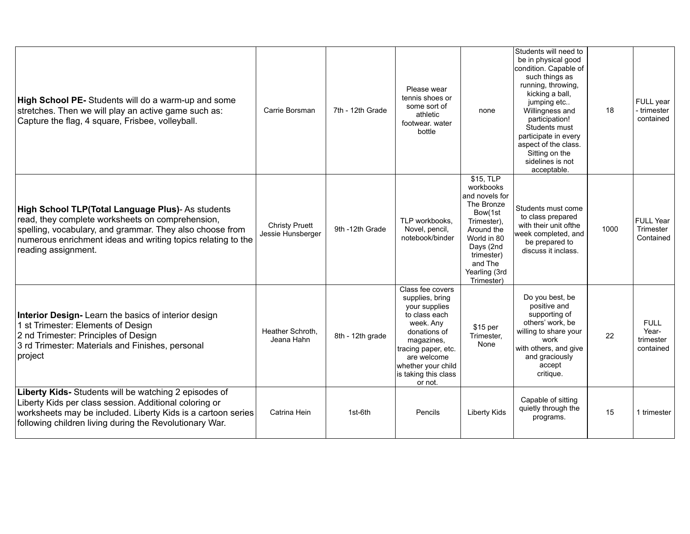| High School PE- Students will do a warm-up and some<br>stretches. Then we will play an active game such as:<br>Capture the flag, 4 square, Frisbee, volleyball.                                                                                          | Carrie Borsman                             | 7th - 12th Grade | Please wear<br>tennis shoes or<br>some sort of<br>athletic<br>footwear, water<br>bottle                                                                                                                         | none                                                                                                                                                                               | Students will need to<br>be in physical good<br>condition. Capable of<br>such things as<br>running, throwing,<br>kicking a ball.<br>jumping etc<br>Willingness and<br>participation!<br>Students must<br>participate in every<br>aspect of the class.<br>Sitting on the<br>sidelines is not<br>acceptable. | 18   | FULL year<br>trimester<br>contained            |
|----------------------------------------------------------------------------------------------------------------------------------------------------------------------------------------------------------------------------------------------------------|--------------------------------------------|------------------|-----------------------------------------------------------------------------------------------------------------------------------------------------------------------------------------------------------------|------------------------------------------------------------------------------------------------------------------------------------------------------------------------------------|------------------------------------------------------------------------------------------------------------------------------------------------------------------------------------------------------------------------------------------------------------------------------------------------------------|------|------------------------------------------------|
| High School TLP(Total Language Plus)- As students<br>read, they complete worksheets on comprehension,<br>spelling, vocabulary, and grammar. They also choose from<br>numerous enrichment ideas and writing topics relating to the<br>reading assignment. | <b>Christy Pruett</b><br>Jessie Hunsberger | 9th -12th Grade  | TLP workbooks.<br>Novel, pencil,<br>notebook/binder                                                                                                                                                             | \$15, TLP<br>workbooks<br>and novels for<br>The Bronze<br>Bow(1st<br>Trimester),<br>Around the<br>World in 80<br>Days (2nd<br>trimester)<br>and The<br>Yearling (3rd<br>Trimester) | Students must come<br>to class prepared<br>with their unit ofthe<br>week completed, and<br>be prepared to<br>discuss it inclass.                                                                                                                                                                           | 1000 | <b>FULL Year</b><br>Trimester<br>Contained     |
| Interior Design- Learn the basics of interior design<br>1 st Trimester: Elements of Design<br>2 nd Trimester: Principles of Design<br>3 rd Trimester: Materials and Finishes, personal<br>project                                                        | Heather Schroth.<br>Jeana Hahn             | 8th - 12th grade | Class fee covers<br>supplies, bring<br>your supplies<br>to class each<br>week. Any<br>donations of<br>magazines,<br>tracing paper, etc.<br>are welcome<br>whether your child<br>is taking this class<br>or not. | \$15 per<br>Trimester.<br>None                                                                                                                                                     | Do you best, be<br>positive and<br>supporting of<br>others' work, be<br>willing to share your<br>work<br>with others, and give<br>and graciously<br>accept<br>critique.                                                                                                                                    | 22   | <b>FULL</b><br>Year-<br>trimester<br>contained |
| Liberty Kids- Students will be watching 2 episodes of<br>Liberty Kids per class session. Additional coloring or<br>worksheets may be included. Liberty Kids is a cartoon series<br>following children living during the Revolutionary War.               | Catrina Hein                               | 1st-6th          | Pencils                                                                                                                                                                                                         | <b>Liberty Kids</b>                                                                                                                                                                | Capable of sitting<br>quietly through the<br>programs.                                                                                                                                                                                                                                                     | 15   | 1 trimester                                    |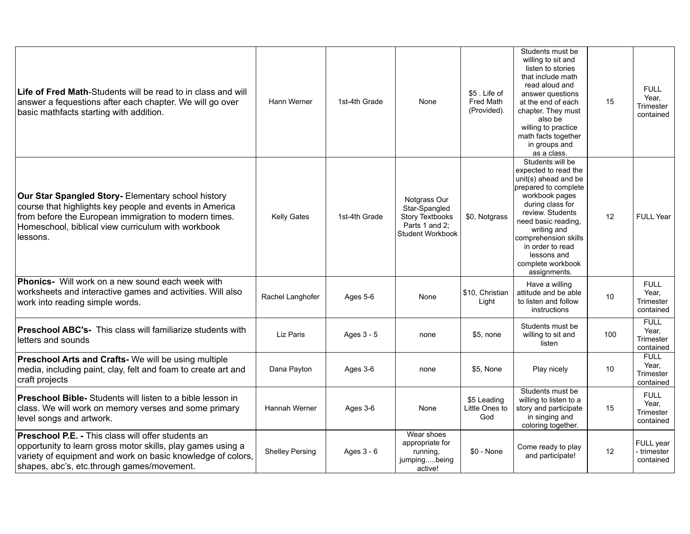| Life of Fred Math-Students will be read to in class and will<br>answer a fequestions after each chapter. We will go over<br>basic mathfacts starting with addition.                                                                      | Hann Werner            | 1st-4th Grade | None                                                                                          | \$5. Life of<br><b>Fred Math</b><br>(Provided). | Students must be<br>willing to sit and<br>listen to stories<br>that include math<br>read aloud and<br>answer questions<br>at the end of each<br>chapter. They must<br>also be<br>willing to practice<br>math facts together<br>in groups and<br>as a class.                              | 15  | <b>FULL</b><br>Year,<br>Trimester<br>contained |
|------------------------------------------------------------------------------------------------------------------------------------------------------------------------------------------------------------------------------------------|------------------------|---------------|-----------------------------------------------------------------------------------------------|-------------------------------------------------|------------------------------------------------------------------------------------------------------------------------------------------------------------------------------------------------------------------------------------------------------------------------------------------|-----|------------------------------------------------|
| Our Star Spangled Story- Elementary school history<br>course that highlights key people and events in America<br>from before the European immigration to modern times.<br>Homeschool, biblical view curriculum with workbook<br>lessons. | <b>Kelly Gates</b>     | 1st-4th Grade | Notgrass Our<br>Star-Spangled<br><b>Story Textbooks</b><br>Parts 1 and 2:<br>Student Workbook | \$0, Notgrass                                   | Students will be<br>expected to read the<br>unit(s) ahead and be<br>prepared to complete<br>workbook pages<br>during class for<br>review. Students<br>need basic reading.<br>writing and<br>comprehension skills<br>in order to read<br>lessons and<br>complete workbook<br>assignments. | 12  | <b>FULL Year</b>                               |
| Phonics- Will work on a new sound each week with<br>worksheets and interactive games and activities. Will also<br>work into reading simple words.                                                                                        | Rachel Langhofer       | Ages 5-6      | None                                                                                          | \$10, Christian<br>Light                        | Have a willing<br>attitude and be able<br>to listen and follow<br>instructions                                                                                                                                                                                                           | 10  | <b>FULL</b><br>Year.<br>Trimester<br>contained |
| Preschool ABC's- This class will familiarize students with<br>letters and sounds                                                                                                                                                         | Liz Paris              | Ages 3 - 5    | none                                                                                          | \$5, none                                       | Students must be<br>willing to sit and<br>listen                                                                                                                                                                                                                                         | 100 | <b>FULL</b><br>Year,<br>Trimester<br>contained |
| Preschool Arts and Crafts- We will be using multiple<br>media, including paint, clay, felt and foam to create art and<br>craft projects                                                                                                  | Dana Payton            | Ages 3-6      | none                                                                                          | \$5, None                                       | Play nicely                                                                                                                                                                                                                                                                              | 10  | <b>FULL</b><br>Year,<br>Trimester<br>contained |
| <b>Preschool Bible-</b> Students will listen to a bible lesson in<br>class. We will work on memory verses and some primary<br>level songs and artwork.                                                                                   | Hannah Werner          | Ages 3-6      | None                                                                                          | \$5 Leading<br>Little Ones to<br>God            | Students must be<br>willing to listen to a<br>story and participate<br>in singing and<br>coloring together.                                                                                                                                                                              | 15  | <b>FULL</b><br>Year.<br>Trimester<br>contained |
| Preschool P.E. - This class will offer students an<br>opportunity to learn gross motor skills, play games using a<br>variety of equipment and work on basic knowledge of colors,<br>shapes, abc's, etc.through games/movement.           | <b>Shelley Persing</b> | Ages 3 - 6    | Wear shoes<br>appropriate for<br>running,<br>jumpingbeing<br>active!                          | \$0 - None                                      | Come ready to play<br>and participate!                                                                                                                                                                                                                                                   | 12  | FULL year<br>trimester<br>contained            |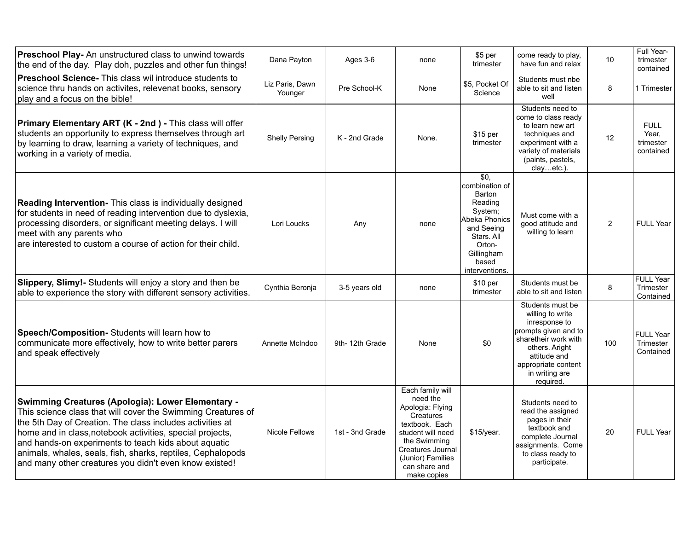| <b>Preschool Play-</b> An unstructured class to unwind towards<br>the end of the day. Play doh, puzzles and other fun things!                                                                                                                                                                                                                                                                                                       | Dana Payton                | Ages 3-6        | none                                                                                                                                                                                                  | \$5 per<br>trimester                                                                                                                                              | come ready to play,<br>have fun and relax                                                                                                                                                     | 10             | Full Year-<br>trimester<br>contained           |
|-------------------------------------------------------------------------------------------------------------------------------------------------------------------------------------------------------------------------------------------------------------------------------------------------------------------------------------------------------------------------------------------------------------------------------------|----------------------------|-----------------|-------------------------------------------------------------------------------------------------------------------------------------------------------------------------------------------------------|-------------------------------------------------------------------------------------------------------------------------------------------------------------------|-----------------------------------------------------------------------------------------------------------------------------------------------------------------------------------------------|----------------|------------------------------------------------|
| Preschool Science- This class wil introduce students to<br>science thru hands on activites, relevenat books, sensory<br>play and a focus on the bible!                                                                                                                                                                                                                                                                              | Liz Paris, Dawn<br>Younger | Pre School-K    | None                                                                                                                                                                                                  | \$5, Pocket Of<br>Science                                                                                                                                         | Students must nbe<br>able to sit and listen<br>well                                                                                                                                           | 8              | 1 Trimester                                    |
| <b>Primary Elementary ART (K - 2nd) - This class will offer</b><br>students an opportunity to express themselves through art<br>by learning to draw, learning a variety of techniques, and<br>working in a variety of media.                                                                                                                                                                                                        | <b>Shelly Persing</b>      | K - 2nd Grade   | None.                                                                                                                                                                                                 | \$15 per<br>trimester                                                                                                                                             | Students need to<br>come to class ready<br>to learn new art<br>techniques and<br>experiment with a<br>variety of materials<br>(paints, pastels,<br>clayetc.).                                 | 12             | <b>FULL</b><br>Year,<br>trimester<br>contained |
| Reading Intervention- This class is individually designed<br>for students in need of reading intervention due to dyslexia,<br>processing disorders, or significant meeting delays. I will<br>meet with any parents who<br>are interested to custom a course of action for their child.                                                                                                                                              | Lori Loucks                | Any             | none                                                                                                                                                                                                  | $\overline{50}$<br>combination of<br>Barton<br>Reading<br>System:<br>Abeka Phonics<br>and Seeing<br>Stars. All<br>Orton-<br>Gillingham<br>based<br>interventions. | Must come with a<br>good attitude and<br>willing to learn                                                                                                                                     | $\overline{2}$ | <b>FULL Year</b>                               |
| Slippery, Slimy!- Students will enjoy a story and then be<br>able to experience the story with different sensory activities.                                                                                                                                                                                                                                                                                                        | Cynthia Beronja            | 3-5 years old   | none                                                                                                                                                                                                  | \$10 <sub>per</sub><br>trimester                                                                                                                                  | Students must be<br>able to sit and listen                                                                                                                                                    | 8              | <b>FULL Year</b><br>Trimester<br>Contained     |
| Speech/Composition- Students will learn how to<br>communicate more effectively, how to write better parers<br>and speak effectively                                                                                                                                                                                                                                                                                                 | Annette McIndoo            | 9th-12th Grade  | None                                                                                                                                                                                                  | \$0                                                                                                                                                               | Students must be<br>willing to write<br>inresponse to<br>prompts given and to<br>sharetheir work with<br>others. Aright<br>attitude and<br>appropriate content<br>in writing are<br>required. | 100            | <b>FULL Year</b><br>Trimester<br>Contained     |
| <b>Swimming Creatures (Apologia): Lower Elementary -</b><br>This science class that will cover the Swimming Creatures of<br>the 5th Day of Creation. The class includes activities at<br>home and in class, notebook activities, special projects,<br>and hands-on experiments to teach kids about aquatic<br>animals, whales, seals, fish, sharks, reptiles, Cephalopods<br>and many other creatures you didn't even know existed! | Nicole Fellows             | 1st - 3nd Grade | Each family will<br>need the<br>Apologia: Flying<br>Creatures<br>textbook. Each<br>student will need<br>the Swimming<br><b>Creatures Journal</b><br>(Junior) Families<br>can share and<br>make copies | \$15/year.                                                                                                                                                        | Students need to<br>read the assigned<br>pages in their<br>textbook and<br>complete Journal<br>assignments. Come<br>to class ready to<br>participate.                                         | 20             | <b>FULL Year</b>                               |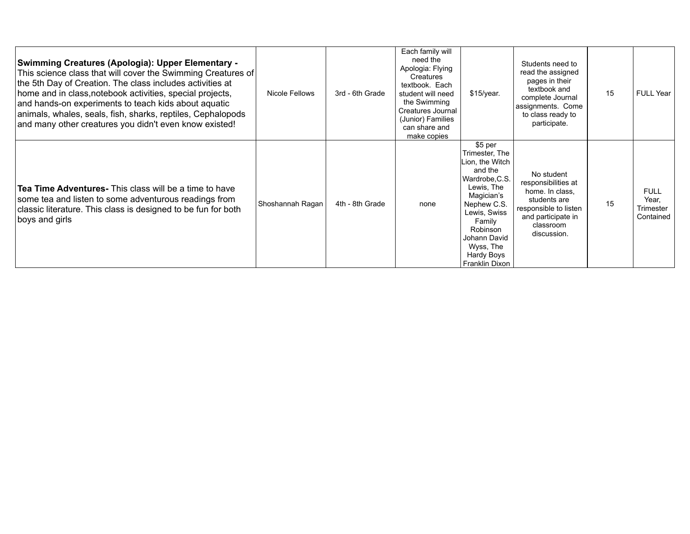| <b>Swimming Creatures (Apologia): Upper Elementary -</b><br>This science class that will cover the Swimming Creatures of<br>the 5th Day of Creation. The class includes activities at<br>home and in class, notebook activities, special projects,<br>and hands-on experiments to teach kids about aquatic<br>animals, whales, seals, fish, sharks, reptiles, Cephalopods<br>and many other creatures you didn't even know existed! | <b>Nicole Fellows</b> | 3rd - 6th Grade | Each family will<br>need the<br>Apologia: Flying<br>Creatures<br>textbook. Each<br>student will need<br>the Swimming<br>Creatures Journal<br>(Junior) Families<br>can share and<br>make copies | $$15/year$ .                                                                                                                                                                                                            | Students need to<br>read the assigned<br>pages in their<br>textbook and<br>complete Journal<br>assignments. Come<br>to class ready to<br>participate. | 15 | <b>FULL Year</b>                               |
|-------------------------------------------------------------------------------------------------------------------------------------------------------------------------------------------------------------------------------------------------------------------------------------------------------------------------------------------------------------------------------------------------------------------------------------|-----------------------|-----------------|------------------------------------------------------------------------------------------------------------------------------------------------------------------------------------------------|-------------------------------------------------------------------------------------------------------------------------------------------------------------------------------------------------------------------------|-------------------------------------------------------------------------------------------------------------------------------------------------------|----|------------------------------------------------|
| <b>Tea Time Adventures-</b> This class will be a time to have<br>some tea and listen to some adventurous readings from<br>classic literature. This class is designed to be fun for both<br>boys and girls                                                                                                                                                                                                                           | Shoshannah Ragan      | 4th - 8th Grade | none                                                                                                                                                                                           | \$5 per<br>Trimester, The<br>Lion, the Witch<br>and the<br>Wardrobe, C.S.<br>Lewis, The<br>Magician's<br>Nephew C.S.<br>Lewis, Swiss<br>Family<br>Robinson<br>Johann David<br>Wyss, The<br>Hardy Boys<br>Franklin Dixon | No student<br>responsibilities at<br>home. In class.<br>students are<br>responsible to listen<br>and participate in<br>classroom<br>discussion.       | 15 | <b>FULL</b><br>Year.<br>Trimester<br>Contained |